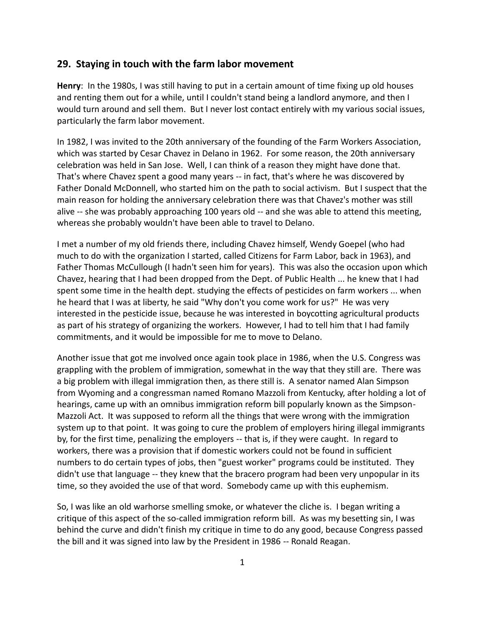## **29. Staying in touch with the farm labor movement**

**Henry**: In the 1980s, I was still having to put in a certain amount of time fixing up old houses and renting them out for a while, until I couldn't stand being a landlord anymore, and then I would turn around and sell them. But I never lost contact entirely with my various social issues, particularly the farm labor movement.

In 1982, I was invited to the 20th anniversary of the founding of the Farm Workers Association, which was started by Cesar Chavez in Delano in 1962. For some reason, the 20th anniversary celebration was held in San Jose. Well, I can think of a reason they might have done that. That's where Chavez spent a good many years -- in fact, that's where he was discovered by Father Donald McDonnell, who started him on the path to social activism. But I suspect that the main reason for holding the anniversary celebration there was that Chavez's mother was still alive -- she was probably approaching 100 years old -- and she was able to attend this meeting, whereas she probably wouldn't have been able to travel to Delano.

I met a number of my old friends there, including Chavez himself, Wendy Goepel (who had much to do with the organization I started, called Citizens for Farm Labor, back in 1963), and Father Thomas McCullough (I hadn't seen him for years). This was also the occasion upon which Chavez, hearing that I had been dropped from the Dept. of Public Health ... he knew that I had spent some time in the health dept. studying the effects of pesticides on farm workers ... when he heard that I was at liberty, he said "Why don't you come work for us?" He was very interested in the pesticide issue, because he was interested in boycotting agricultural products as part of his strategy of organizing the workers. However, I had to tell him that I had family commitments, and it would be impossible for me to move to Delano.

Another issue that got me involved once again took place in 1986, when the U.S. Congress was grappling with the problem of immigration, somewhat in the way that they still are. There was a big problem with illegal immigration then, as there still is. A senator named Alan Simpson from Wyoming and a congressman named Romano Mazzoli from Kentucky, after holding a lot of hearings, came up with an omnibus immigration reform bill popularly known as the Simpson- Mazzoli Act. It was supposed to reform all the things that were wrong with the immigration system up to that point. It was going to cure the problem of employers hiring illegal immigrants by, for the first time, penalizing the employers -- that is, if they were caught. In regard to workers, there was a provision that if domestic workers could not be found in sufficient numbers to do certain types of jobs, then "guest worker" programs could be instituted. They didn't use that language -- they knew that the bracero program had been very unpopular in its time, so they avoided the use of that word. Somebody came up with this euphemism.

So, I was like an old warhorse smelling smoke, or whatever the cliche is. I began writing a critique of this aspect of the so-called immigration reform bill. As was my besetting sin, I was behind the curve and didn't finish my critique in time to do any good, because Congress passed the bill and it was signed into law by the President in 1986 -- Ronald Reagan.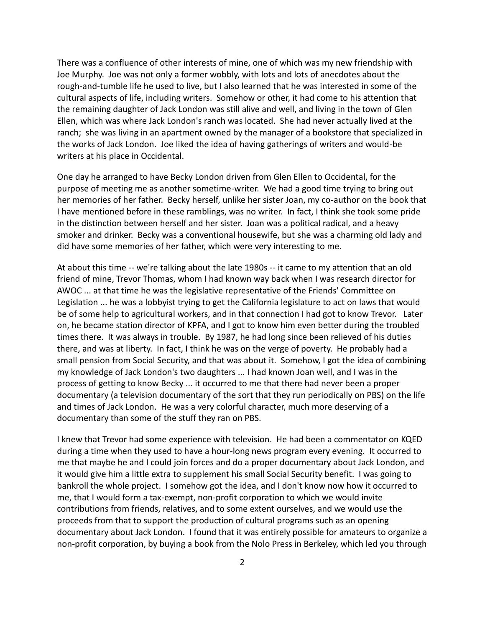There was a confluence of other interests of mine, one of which was my new friendship with Joe Murphy. Joe was not only a former wobbly, with lots and lots of anecdotes about the rough-and-tumble life he used to live, but I also learned that he was interested in some of the cultural aspects of life, including writers. Somehow or other, it had come to his attention that the remaining daughter of Jack London was still alive and well, and living in the town of Glen Ellen, which was where Jack London's ranch was located. She had never actually lived at the ranch; she was living in an apartment owned by the manager of a bookstore that specialized in the works of Jack London. Joe liked the idea of having gatherings of writers and would-be writers at his place in Occidental.

One day he arranged to have Becky London driven from Glen Ellen to Occidental, for the purpose of meeting me as another sometime-writer. We had a good time trying to bring out her memories of her father. Becky herself, unlike her sister Joan, my co-author on the book that I have mentioned before in these ramblings, was no writer. In fact, I think she took some pride in the distinction between herself and her sister. Joan was a political radical, and a heavy smoker and drinker. Becky was a conventional housewife, but she was a charming old lady and did have some memories of her father, which were very interesting to me.

At about this time -- we're talking about the late 1980s -- it came to my attention that an old friend of mine, Trevor Thomas, whom I had known way back when I was research director for AWOC ... at that time he was the legislative representative of the Friends' Committee on Legislation ... he was a lobbyist trying to get the California legislature to act on laws that would be of some help to agricultural workers, and in that connection I had got to know Trevor. Later on, he became station director of KPFA, and I got to know him even better during the troubled times there. It was always in trouble. By 1987, he had long since been relieved of his duties there, and was at liberty. In fact, I think he was on the verge of poverty. He probably had a small pension from Social Security, and that was about it. Somehow, I got the idea of combining my knowledge of Jack London's two daughters ... I had known Joan well, and I was in the process of getting to know Becky ... it occurred to me that there had never been a proper documentary (a television documentary of the sort that they run periodically on PBS) on the life and times of Jack London. He was a very colorful character, much more deserving of a documentary than some of the stuff they ran on PBS.

I knew that Trevor had some experience with television. He had been a commentator on KQED during a time when they used to have a hour-long news program every evening. It occurred to me that maybe he and I could join forces and do a proper documentary about Jack London, and it would give him a little extra to supplement his small Social Security benefit. I was going to bankroll the whole project. I somehow got the idea, and I don't know now how it occurred to me, that I would form a tax-exempt, non-profit corporation to which we would invite contributions from friends, relatives, and to some extent ourselves, and we would use the proceeds from that to support the production of cultural programs such as an opening documentary about Jack London. I found that it was entirely possible for amateurs to organize a non-profit corporation, by buying a book from the Nolo Press in Berkeley, which led you through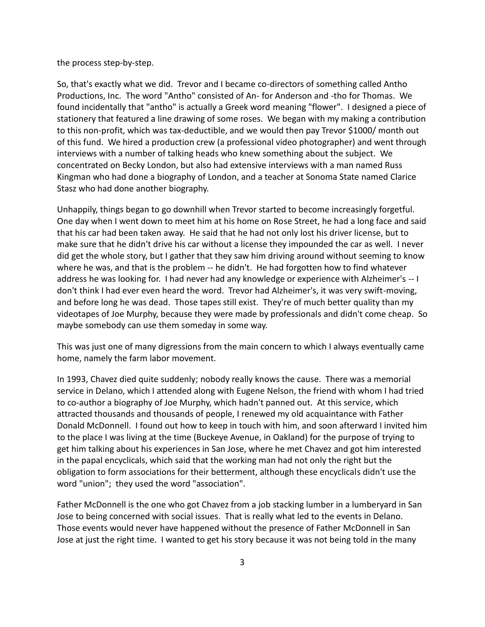the process step-by-step.

So, that's exactly what we did. Trevor and I became co-directors of something called Antho Productions, Inc. The word "Antho" consisted of An- for Anderson and -tho for Thomas. We found incidentally that "antho" is actually a Greek word meaning "flower". I designed a piece of stationery that featured a line drawing of some roses. We began with my making a contribution to this non-profit, which was tax-deductible, and we would then pay Trevor \$1000/ month out of this fund. We hired a production crew (a professional video photographer) and went through interviews with a number of talking heads who knew something about the subject. We concentrated on Becky London, but also had extensive interviews with a man named Russ Kingman who had done a biography of London, and a teacher at Sonoma State named Clarice Stasz who had done another biography.

Unhappily, things began to go downhill when Trevor started to become increasingly forgetful. One day when I went down to meet him at his home on Rose Street, he had a long face and said that his car had been taken away. He said that he had not only lost his driver license, but to make sure that he didn't drive his car without a license they impounded the car as well. I never did get the whole story, but I gather that they saw him driving around without seeming to know where he was, and that is the problem -- he didn't. He had forgotten how to find whatever address he was looking for. I had never had any knowledge or experience with Alzheimer's -- I don't think I had ever even heard the word. Trevor had Alzheimer's, it was very swift-moving, and before long he was dead. Those tapes still exist. They're of much better quality than my videotapes of Joe Murphy, because they were made by professionals and didn't come cheap. So maybe somebody can use them someday in some way.

This was just one of many digressions from the main concern to which I always eventually came home, namely the farm labor movement.

In 1993, Chavez died quite suddenly; nobody really knows the cause. There was a memorial service in Delano, which I attended along with Eugene Nelson, the friend with whom I had tried to co-author a biography of Joe Murphy, which hadn't panned out. At this service, which attracted thousands and thousands of people, I renewed my old acquaintance with Father Donald McDonnell. I found out how to keep in touch with him, and soon afterward I invited him to the place I was living at the time (Buckeye Avenue, in Oakland) for the purpose of trying to get him talking about his experiences in San Jose, where he met Chavez and got him interested in the papal encyclicals, which said that the working man had not only the right but the obligation to form associations for their betterment, although these encyclicals didn't use the word "union"; they used the word "association".

Father McDonnell is the one who got Chavez from a job stacking lumber in a lumberyard in San Jose to being concerned with social issues. That is really what led to the events in Delano. Those events would never have happened without the presence of Father McDonnell in San Jose at just the right time. I wanted to get his story because it was not being told in the many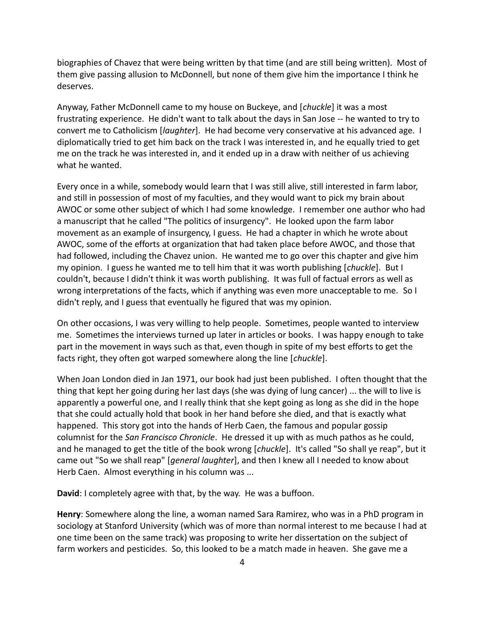biographies of Chavez that were being written by that time (and are still being written). Most of them give passing allusion to McDonnell, but none of them give him the importance I think he deserves.

Anyway, Father McDonnell came to my house on Buckeye, and [*chuckle*] it was a most frustrating experience. He didn't want to talk about the days in San Jose -- he wanted to try to convert me to Catholicism [*laughter*]. He had become very conservative at his advanced age. I diplomatically tried to get him back on the track I was interested in, and he equally tried to get me on the track he was interested in, and it ended up in a draw with neither of us achieving what he wanted.

Every once in a while, somebody would learn that I was still alive, still interested in farm labor, and still in possession of most of my faculties, and they would want to pick my brain about AWOC or some other subject of which I had some knowledge. I remember one author who had a manuscript that he called "The politics of insurgency". He looked upon the farm labor movement as an example of insurgency, I guess. He had a chapter in which he wrote about AWOC, some of the efforts at organization that had taken place before AWOC, and those that had followed, including the Chavez union. He wanted me to go over this chapter and give him my opinion. I guess he wanted me to tell him that it was worth publishing [*chuckle*]. But I couldn't, because I didn't think it was worth publishing. It was full of factual errors as well as wrong interpretations of the facts, which if anything was even more unacceptable to me. So I didn't reply, and I guess that eventually he figured that was my opinion.

On other occasions, I was very willing to help people. Sometimes, people wanted to interview me. Sometimes the interviews turned up later in articles or books. I was happy enough to take part in the movement in ways such as that, even though in spite of my best efforts to get the facts right, they often got warped somewhere along the line [*chuckle*].

When Joan London died in Jan 1971, our book had just been published. I often thought that the thing that kept her going during her last days (she was dying of lung cancer) ... the will to live is apparently a powerful one, and I really think that she kept going as long as she did in the hope that she could actually hold that book in her hand before she died, and that is exactly what happened. This story got into the hands of Herb Caen, the famous and popular gossip columnist for the *San Francisco Chronicle*. He dressed it up with as much pathos as he could, and he managed to get the title of the book wrong [*chuckle*]. It's called "So shall ye reap", but it came out "So we shall reap" [*general laughter*], and then I knew all I needed to know about Herb Caen. Almost everything in his column was ...

**David**: I completely agree with that, by the way. He was a buffoon.

**Henry**: Somewhere along the line, a woman named Sara Ramirez, who was in a PhD program in sociology at Stanford University (which was of more than normal interest to me because I had at one time been on the same track) was proposing to write her dissertation on the subject of farm workers and pesticides. So, this looked to be a match made in heaven. She gave me a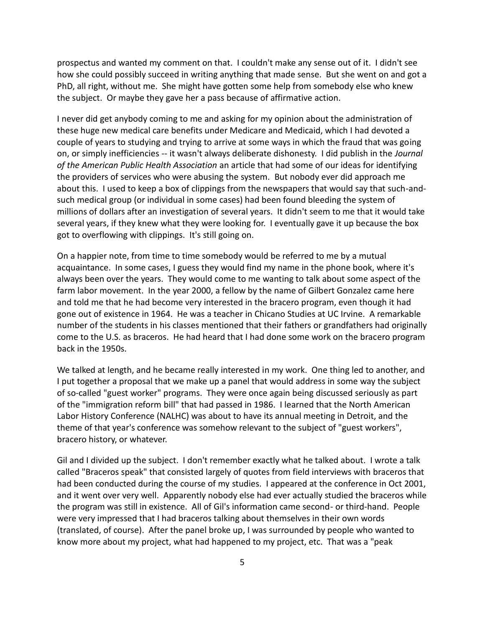prospectus and wanted my comment on that. I couldn't make any sense out of it. I didn't see how she could possibly succeed in writing anything that made sense. But she went on and got a PhD, all right, without me. She might have gotten some help from somebody else who knew the subject. Or maybe they gave her a pass because of affirmative action.

I never did get anybody coming to me and asking for my opinion about the administration of these huge new medical care benefits under Medicare and Medicaid, which I had devoted a couple of years to studying and trying to arrive at some ways in which the fraud that was going on, or simply inefficiencies -- it wasn't always deliberate dishonesty. I did publish in the *Journal of the American Public Health Association* an article that had some of our ideas for identifying the providers of services who were abusing the system. But nobody ever did approach me about this. I used to keep a box of clippings from the newspapers that would say that such-and such medical group (or individual in some cases) had been found bleeding the system of millions of dollars after an investigation of several years. It didn't seem to me that it would take several years, if they knew what they were looking for. I eventually gave it up because the box got to overflowing with clippings. It's still going on.

On a happier note, from time to time somebody would be referred to me by a mutual acquaintance. In some cases, I guess they would find my name in the phone book, where it's always been over the years. They would come to me wanting to talk about some aspect of the farm labor movement. In the year 2000, a fellow by the name of Gilbert Gonzalez came here and told me that he had become very interested in the bracero program, even though it had gone out of existence in 1964. He was a teacher in Chicano Studies at UC Irvine. A remarkable number of the students in his classes mentioned that their fathers or grandfathers had originally come to the U.S. as braceros. He had heard that I had done some work on the bracero program back in the 1950s.

We talked at length, and he became really interested in my work. One thing led to another, and I put together a proposal that we make up a panel that would address in some way the subject of so-called "guest worker" programs. They were once again being discussed seriously as part of the "immigration reform bill" that had passed in 1986. I learned that the North American Labor History Conference (NALHC) was about to have its annual meeting in Detroit, and the theme of that year's conference was somehow relevant to the subject of "guest workers", bracero history, or whatever.

Gil and I divided up the subject. I don't remember exactly what he talked about. I wrote a talk called "Braceros speak" that consisted largely of quotes from field interviews with braceros that had been conducted during the course of my studies. I appeared at the conference in Oct 2001, and it went over very well. Apparently nobody else had ever actually studied the braceros while the program was still in existence. All of Gil's information came second- or third-hand. People were very impressed that I had braceros talking about themselves in their own words (translated, of course). After the panel broke up, I was surrounded by people who wanted to know more about my project, what had happened to my project, etc. That was a "peak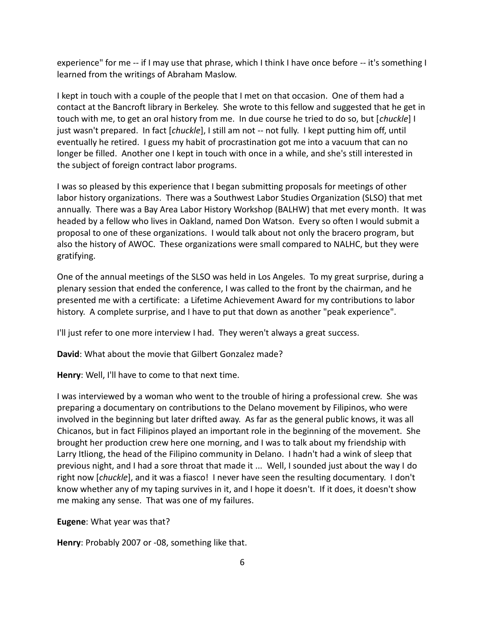experience" for me -- if I may use that phrase, which I think I have once before -- it's something I learned from the writings of Abraham Maslow.

I kept in touch with a couple of the people that I met on that occasion. One of them had a contact at the Bancroft library in Berkeley. She wrote to this fellow and suggested that he get in touch with me, to get an oral history from me. In due course he tried to do so, but [*chuckle*] I just wasn't prepared. In fact [*chuckle*], I still am not -- not fully. I kept putting him off, until eventually he retired. I guess my habit of procrastination got me into a vacuum that can no longer be filled. Another one I kept in touch with once in a while, and she's still interested in the subject of foreign contract labor programs.

I was so pleased by this experience that I began submitting proposals for meetings of other labor history organizations. There was a Southwest Labor Studies Organization (SLSO) that met annually. There was a Bay Area Labor History Workshop (BALHW) that met every month. It was headed by a fellow who lives in Oakland, named Don Watson. Every so often I would submit a proposal to one of these organizations. I would talk about not only the bracero program, but also the history of AWOC. These organizations were small compared to NALHC, but they were gratifying.

One of the annual meetings of the SLSO was held in Los Angeles. To my great surprise, during a plenary session that ended the conference, I was called to the front by the chairman, and he presented me with a certificate: a Lifetime Achievement Award for my contributions to labor history. A complete surprise, and I have to put that down as another "peak experience".

I'll just refer to one more interview I had. They weren't always a great success.

**David**: What about the movie that Gilbert Gonzalez made?

**Henry**: Well, I'll have to come to that next time.

I was interviewed by a woman who went to the trouble of hiring a professional crew. She was preparing a documentary on contributions to the Delano movement by Filipinos, who were involved in the beginning but later drifted away. As far as the general public knows, it was all Chicanos, but in fact Filipinos played an important role in the beginning of the movement. She brought her production crew here one morning, and I was to talk about my friendship with Larry Itliong, the head of the Filipino community in Delano. I hadn't had a wink of sleep that previous night, and I had a sore throat that made it ... Well, I sounded just about the way I do right now [*chuckle*], and it was a fiasco! I never have seen the resulting documentary. I don't know whether any of my taping survives in it, and I hope it doesn't. If it does, it doesn't show me making any sense. That was one of my failures.

**Eugene**: What year was that?

**Henry**: Probably 2007 or -08, something like that.